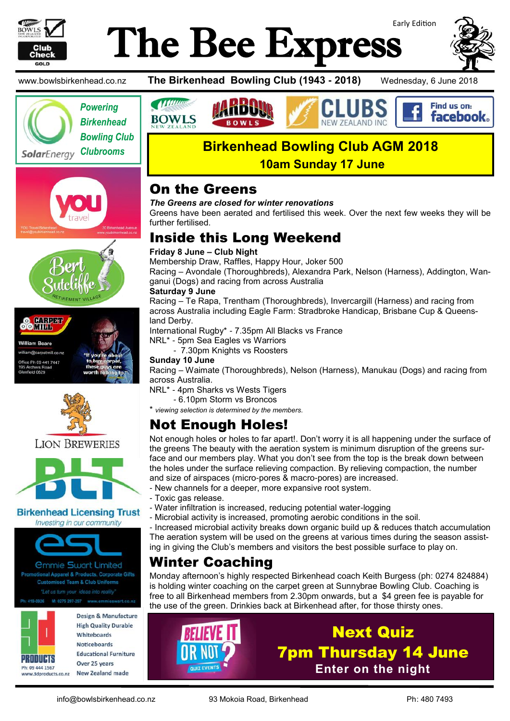

**O** CONDER **OOMIH. William Beare** william@carpetmill.co.nx )<br>ffice Ph 09 441 7447<br>I95 Archers Road chers R<br>eld 0629

**LION BREWERIES** 

Investing in our community

*<u>Ommie Swart Limited</u>* Promotional Apparel & Products, Corporate Gifts **Customised Team & Club Uniforms** "Let us turn your ideas into reality

# Early Edition The Bee Express



Find us on: **facebook** 

www.bowlsbirkenhead.co.nz **The Birkenhead Bowling Club (1943 - 2018)** Wednesday, 6 June 2018





# **Birkenhead Bowling Club AGM 2018**

**10am Sunday 17 June**

### On the Greens

*The Greens are closed for winter renovations*

Greens have been aerated and fertilised this week. Over the next few weeks they will be further fertilised.

# Inside this Long Weekend

### **Friday 8 June – Club Night**

Membership Draw, Raffles, Happy Hour, Joker 500

Racing – Avondale (Thoroughbreds), Alexandra Park, Nelson (Harness), Addington, Wanganui (Dogs) and racing from across Australia

### **Saturday 9 June**

**Allum** 

Racing – Te Rapa, Trentham (Thoroughbreds), Invercargill (Harness) and racing from across Australia including Eagle Farm: Stradbroke Handicap, Brisbane Cup & Queensland Derby.

International Rugby\* - 7.35pm All Blacks vs France

NRL\* - 5pm Sea Eagles vs Warriors - 7.30pm Knights vs Roosters

### **Sunday 10 June**

Racing – Waimate (Thoroughbreds), Nelson (Harness), Manukau (Dogs) and racing from across Australia.

NRL\* - 4pm Sharks vs Wests Tigers

- 6.10pm Storm vs Broncos

\* *viewing selection is determined by the members.*

# Not Enough Holes!

Not enough holes or holes to far apart!. Don't worry it is all happening under the surface of the greens The beauty with the aeration system is minimum disruption of the greens surface and our members play. What you don't see from the top is the break down between the holes under the surface relieving compaction. By relieving compaction, the number and size of airspaces (micro-pores & macro-pores) are increased.

- New channels for a deeper, more expansive root system.
- Toxic gas release.
- Water infiltration is increased, reducing potential water-logging
- **Birkenhead Licensing Trust** - Microbial activity is increased, promoting aerobic conditions in the soil.

- Increased microbial activity breaks down organic build up & reduces thatch accumulation The aeration system will be used on the greens at various times during the season assisting in giving the Club's members and visitors the best possible surface to play on.

## Winter Coaching

Monday afternoon's highly respected Birkenhead coach Keith Burgess (ph: 0274 824884) is holding winter coaching on the carpet green at Sunnybrae Bowling Club. Coaching is free to all Birkenhead members from 2.30pm onwards, but a \$4 green fee is payable for the use of the green. Drinkies back at Birkenhead after, for those thirsty ones.



419-0926

Design & Manufacture **High Quality Durable** Whitehoards **Noticeboards Educational Furniture** Over 25 years **New Zealand made** 



Next Quiz 7pm Thursday 14 June **Enter on the night**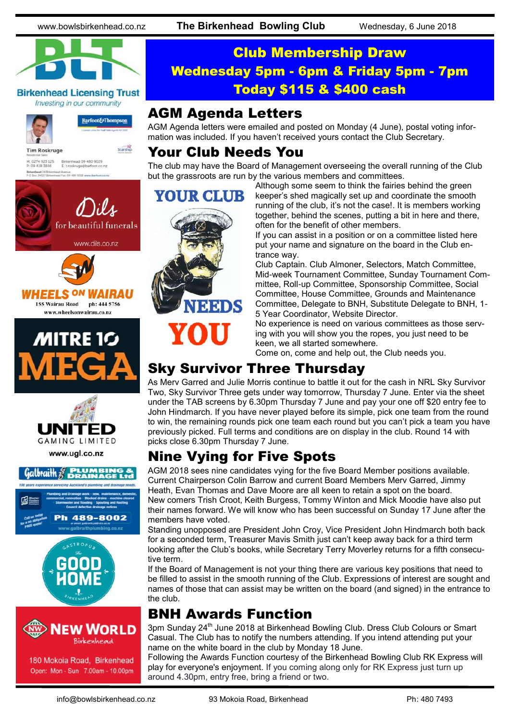

#### **Birkenhead Licensing Trust** Investing in our community



M: 0274 923 125<br>P: 09 418 3846

Birkenhead 24 Br)<br>P O Box 34027 Bin

Barfoot&Thompson

Starship

# Club Membership Draw Wednesday 5pm - 6pm & Friday 5pm - 7pm Today \$115 & \$400 cash

### AGM Agenda Letters

AGM Agenda letters were emailed and posted on Monday (4 June), postal voting information was included. If you haven't received yours contact the Club Secretary.

### Your Club Needs You

The club may have the Board of Management overseeing the overall running of the Club but the grassroots are run by the various members and committees.

# for beautiful funerals www.dils.co.nz

Birkenhead 09 480 9029<br>E: t.roskruge@barfoot.co

Avenue<br>Fax. 09 480 9018 www.barfoot.







www.ugl.co.nz

# $Galbtailh \mathcal{E}$  **PLYMBIN**





180 Mokoia Road, Birkenhead Open: Mon - Sun 7.00am - 10.00pm



Although some seem to think the fairies behind the green keeper's shed magically set up and coordinate the smooth running of the club, it's not the case!. It is members working together, behind the scenes, putting a bit in here and there, often for the benefit of other members.

If you can assist in a position or on a committee listed here put your name and signature on the board in the Club entrance way.

Club Captain. Club Almoner, Selectors, Match Committee, Mid-week Tournament Committee, Sunday Tournament Committee, Roll-up Committee, Sponsorship Committee, Social Committee, House Committee, Grounds and Maintenance Committee, Delegate to BNH, Substitute Delegate to BNH, 1- 5 Year Coordinator, Website Director.

No experience is need on various committees as those serving with you will show you the ropes, you just need to be keen, we all started somewhere.

Come on, come and help out, the Club needs you.

# Sky Survivor Three Thursday

As Merv Garred and Julie Morris continue to battle it out for the cash in NRL Sky Survivor Two, Sky Survivor Three gets under way tomorrow, Thursday 7 June. Enter via the sheet under the TAB screens by 6.30pm Thursday 7 June and pay your one off \$20 entry fee to John Hindmarch. If you have never played before its simple, pick one team from the round to win, the remaining rounds pick one team each round but you can't pick a team you have previously picked. Full terms and conditions are on display in the club. Round 14 with picks close 6.30pm Thursday 7 June.

## Nine Vying for Five Spots

AGM 2018 sees nine candidates vying for the five Board Member positions available. Current Chairperson Colin Barrow and current Board Members Merv Garred, Jimmy Heath, Evan Thomas and Dave Moore are all keen to retain a spot on the board. New comers Trish Croot, Keith Burgess, Tommy Winton and Mick Moodie have also put their names forward. We will know who has been successful on Sunday 17 June after the members have voted.

Standing unopposed are President John Croy, Vice President John Hindmarch both back for a seconded term, Treasurer Mavis Smith just can't keep away back for a third term looking after the Club's books, while Secretary Terry Moverley returns for a fifth consecutive term.

If the Board of Management is not your thing there are various key positions that need to be filled to assist in the smooth running of the Club. Expressions of interest are sought and names of those that can assist may be written on the board (and signed) in the entrance to the club.

## BNH Awards Function

3pm Sunday 24<sup>th</sup> June 2018 at Birkenhead Bowling Club. Dress Club Colours or Smart Casual. The Club has to notify the numbers attending. If you intend attending put your name on the white board in the club by Monday 18 June.

Following the Awards Function courtesy of the Birkenhead Bowling Club RK Express will play for everyone's enjoyment. If you coming along only for RK Express just turn up around 4.30pm, entry free, bring a friend or two.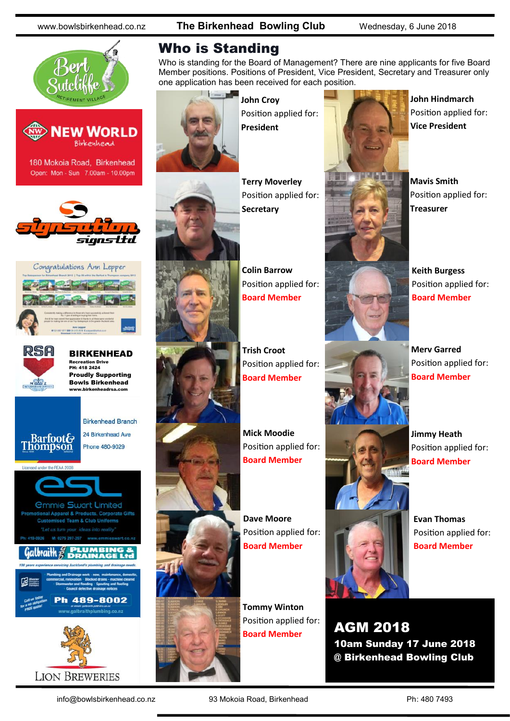www.bowlsbirkenhead.co.nz **The Birkenhead Bowling Club** Wednesday, 6 June 2018





180 Mokoia Road, Birkenhead Open: Mon - Sun 7.00am - 10.00pm







BIRKENHEAD Recreation Drive PH: 418 2424 Proudly Supporting Bowls Birkenhead www.birkenheadrsa.com



**LION BREWERIES** 

### Who is Standing

Who is standing for the Board of Management? There are nine applicants for five Board Member positions. Positions of President, Vice President, Secretary and Treasurer only one application has been received for each position.



**John Croy** Position applied for: **President**





**Terry Moverley** Position applied for: **Secretary**



**Trish Croot** Position applied for: **Board Member**

**Mick Moodie** Position applied for: **Board Member**

**Dave Moore** Position applied for: **Board Member**

**Tommy Winton** Position applied for: **Board Member**



**John Hindmarch** Position applied for: **Vice President**

**Mavis Smith** Position applied for: **Treasurer**

**Keith Burgess** Position applied for: **Board Member**

**Merv Garred** Position applied for: **Board Member**

**Jimmy Heath** Position applied for: **Board Member**

**Evan Thomas** Position applied for: **Board Member**

AGM 2018 10am Sunday 17 June 2018 @ Birkenhead Bowling Club